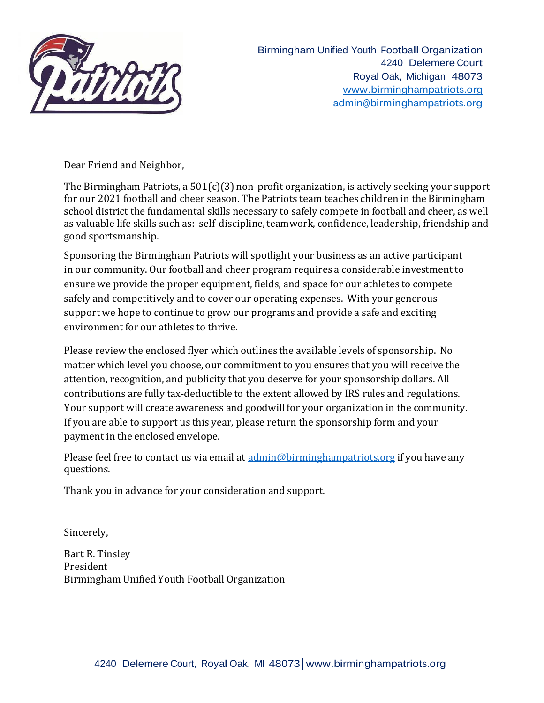

Birmingham Unified Youth Football Organization 4240 Delemere Court Royal Oak, Michigan 48073 [www.birminghampatriots.org](http://www.birminghampatriots.org/) [admin@birminghampatriots.org](mailto:admin@birminghampatriots.org)

Dear Friend and Neighbor,

The Birmingham Patriots, a 501(c)(3) non-profit organization, is actively seeking your support for our 2021 football and cheer season. The Patriots team teaches children in the Birmingham school district the fundamental skills necessary to safely compete in football and cheer, as well as valuable life skills such as: self-discipline, teamwork, confidence, leadership, friendship and good sportsmanship.

Sponsoring the Birmingham Patriots will spotlight your business as an active participant in our community. Our football and cheer program requires a considerable investment to ensure we provide the proper equipment, fields, and space for our athletes to compete safely and competitively and to cover our operating expenses. With your generous support we hope to continue to grow our programs and provide a safe and exciting environment for our athletes to thrive.

Please review the enclosed flyer which outlines the available levels of sponsorship. No matter which level you choose, our commitment to you ensures that you will receive the attention, recognition, and publicity that you deserve for your sponsorship dollars. All contributions are fully tax-deductible to the extent allowed by IRS rules and regulations. Your support will create awareness and goodwill for your organization in the community. If you are able to support us this year, please return the sponsorship form and your payment in the enclosed envelope.

Please feel free to contact us via email at [admin@birminghampatriots.org](mailto:admin@birminghampatriots.org) if you have any questions.

Thank you in advance for your consideration and support.

Sincerely,

Bart R. Tinsley President Birmingham Unified Youth Football Organization